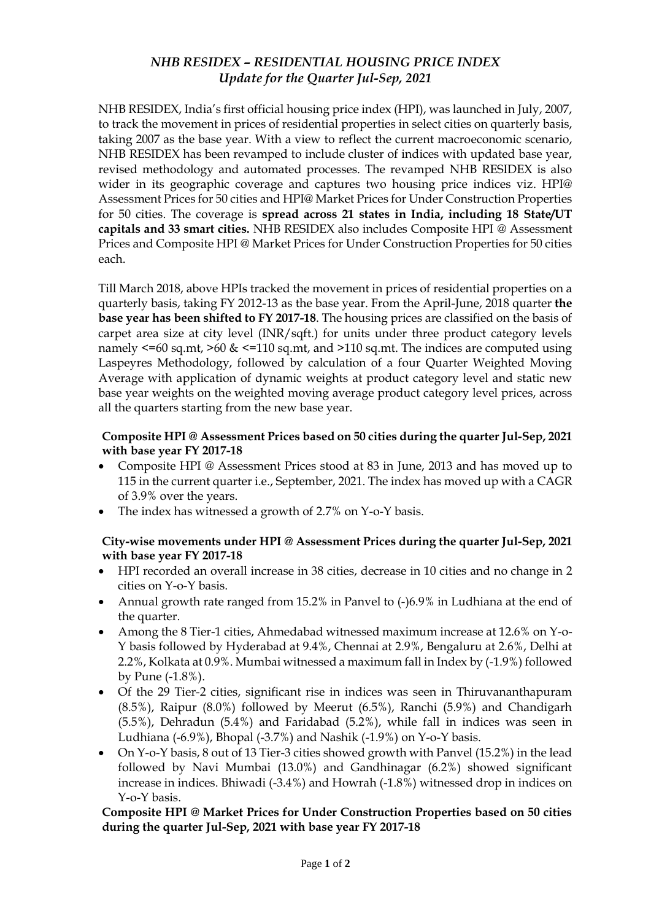# *NHB RESIDEX – RESIDENTIAL HOUSING PRICE INDEX Update for the Quarter Jul-Sep, 2021*

NHB RESIDEX, India's first official housing price index (HPI), was launched in July, 2007, to track the movement in prices of residential properties in select cities on quarterly basis, taking 2007 as the base year. With a view to reflect the current macroeconomic scenario, NHB RESIDEX has been revamped to include cluster of indices with updated base year, revised methodology and automated processes. The revamped NHB RESIDEX is also wider in its geographic coverage and captures two housing price indices viz. HPI@ Assessment Prices for 50 cities and HPI@ Market Prices for Under Construction Properties for 50 cities. The coverage is **spread across 21 states in India, including 18 State/UT capitals and 33 smart cities.** NHB RESIDEX also includes Composite HPI @ Assessment Prices and Composite HPI @ Market Prices for Under Construction Properties for 50 cities each.

Till March 2018, above HPIs tracked the movement in prices of residential properties on a quarterly basis, taking FY 2012-13 as the base year. From the April-June, 2018 quarter **the base year has been shifted to FY 2017-18**. The housing prices are classified on the basis of carpet area size at city level (INR/sqft.) for units under three product category levels namely  $\leq$ =60 sq.mt,  $\geq$ 60 &  $\leq$ =110 sq.mt, and  $\geq$ 110 sq.mt. The indices are computed using Laspeyres Methodology, followed by calculation of a four Quarter Weighted Moving Average with application of dynamic weights at product category level and static new base year weights on the weighted moving average product category level prices, across all the quarters starting from the new base year.

## **Composite HPI @ Assessment Prices based on 50 cities during the quarter Jul-Sep, 2021 with base year FY 2017-18**

- Composite HPI @ Assessment Prices stood at 83 in June, 2013 and has moved up to 115 in the current quarter i.e., September, 2021. The index has moved up with a CAGR of 3.9% over the years.
- The index has witnessed a growth of 2.7% on Y-o-Y basis.

### **City-wise movements under HPI @ Assessment Prices during the quarter Jul-Sep, 2021 with base year FY 2017-18**

- HPI recorded an overall increase in 38 cities, decrease in 10 cities and no change in 2 cities on Y-o-Y basis.
- Annual growth rate ranged from 15.2% in Panvel to (-)6.9% in Ludhiana at the end of the quarter.
- Among the 8 Tier-1 cities, Ahmedabad witnessed maximum increase at 12.6% on Y-o-Y basis followed by Hyderabad at 9.4%, Chennai at 2.9%, Bengaluru at 2.6%, Delhi at 2.2%, Kolkata at 0.9%. Mumbai witnessed a maximum fall in Index by (-1.9%) followed by Pune (-1.8%).
- Of the 29 Tier-2 cities, significant rise in indices was seen in Thiruvananthapuram (8.5%), Raipur (8.0%) followed by Meerut (6.5%), Ranchi (5.9%) and Chandigarh (5.5%), Dehradun (5.4%) and Faridabad (5.2%), while fall in indices was seen in Ludhiana (-6.9%), Bhopal (-3.7%) and Nashik (-1.9%) on Y-o-Y basis.
- On Y-o-Y basis, 8 out of 13 Tier-3 cities showed growth with Panvel (15.2%) in the lead followed by Navi Mumbai (13.0%) and Gandhinagar (6.2%) showed significant increase in indices. Bhiwadi (-3.4%) and Howrah (-1.8%) witnessed drop in indices on Y-o-Y basis.

### **Composite HPI @ Market Prices for Under Construction Properties based on 50 cities during the quarter Jul-Sep, 2021 with base year FY 2017-18**